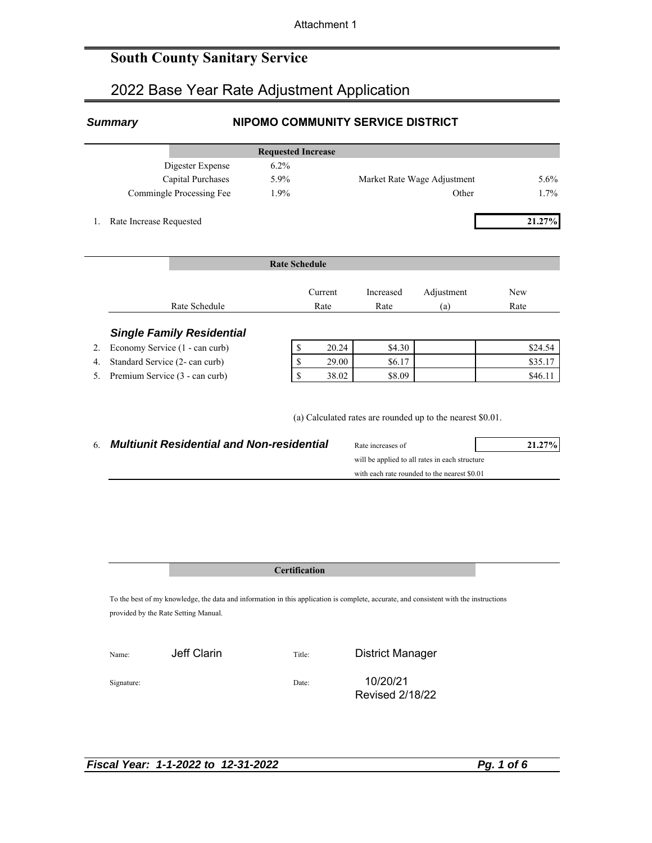## **South County Sanitary Service**

# 2022 Base Year Rate Adjustment Application

### *Summary* **NIPOMO COMMUNITY SERVICE DISTRICT**

|                          | <b>Requested Increase</b> |                             |      |
|--------------------------|---------------------------|-----------------------------|------|
| Digester Expense         | $6.2\%$                   |                             |      |
| Capital Purchases        | 5.9%                      | Market Rate Wage Adjustment | 5.6% |
| Commingle Processing Fee | 1.9%                      | Other                       | 1.7% |

1. Rate Increase Requested **21.27%**

|    |                                  | <b>Rate Schedule</b> |                 |                   |                   |             |
|----|----------------------------------|----------------------|-----------------|-------------------|-------------------|-------------|
|    | Rate Schedule                    |                      | Current<br>Rate | Increased<br>Rate | Adjustment<br>(a) | New<br>Rate |
|    | <b>Single Family Residential</b> |                      |                 |                   |                   |             |
| 2. | Economy Service (1 - can curb)   |                      | 20.24           | \$4.30            |                   | \$24.54     |
| 4. | Standard Service (2- can curb)   |                      | 29.00           | \$6.17            |                   | \$35.17     |

5. Premium Service (3 - can curb) \$ 38.02 \$8.09 \$46.11

(a) Calculated rates are rounded up to the nearest \$0.01.

| <b>Multiunit Residential and Non-residential</b> | Rate increases of | 21.27% |
|--------------------------------------------------|-------------------|--------|
|--------------------------------------------------|-------------------|--------|

| Rate increases of                              |  |
|------------------------------------------------|--|
| will be applied to all rates in each structure |  |
| with each rate rounded to the nearest \$0.01   |  |

### **Certification**

To the best of my knowledge, the data and information in this application is complete, accurate, and consistent with the instructions provided by the Rate Setting Manual.

| Name:      | Jeff Clarin | Title: | <b>District Manager</b>            |
|------------|-------------|--------|------------------------------------|
| Signature: |             | Date:  | 10/20/21<br><b>Revised 2/18/22</b> |

*Fiscal Year: 1-1-2022 to 12-31-2022 Pg. 1 of 6*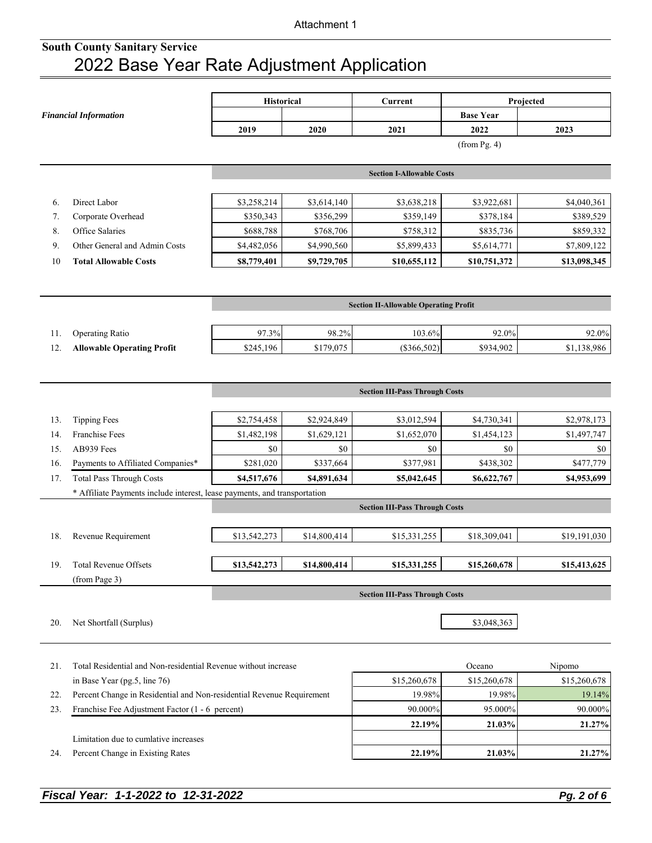|     |                                                                           | Historical   |              | Current                                      | Projected        |              |  |
|-----|---------------------------------------------------------------------------|--------------|--------------|----------------------------------------------|------------------|--------------|--|
|     | <b>Financial Information</b>                                              |              |              |                                              | <b>Base Year</b> |              |  |
|     |                                                                           | 2019         | 2020         | 2021                                         | 2022             | 2023         |  |
|     |                                                                           |              |              |                                              | $(from$ Pg. 4)   |              |  |
|     |                                                                           |              |              | <b>Section I-Allowable Costs</b>             |                  |              |  |
|     |                                                                           |              |              |                                              |                  |              |  |
| 6.  | Direct Labor                                                              | \$3,258,214  | \$3,614,140  | \$3,638,218                                  | \$3,922,681      | \$4,040,361  |  |
| 7.  | Corporate Overhead                                                        | \$350,343    | \$356,299    | \$359,149                                    | \$378,184        | \$389,529    |  |
| 8.  | Office Salaries                                                           | \$688,788    | \$768,706    | \$758,312                                    | \$835,736        | \$859,332    |  |
| 9.  | Other General and Admin Costs                                             | \$4,482,056  | \$4,990,560  | \$5,899,433                                  | \$5,614,771      | \$7,809,122  |  |
| 10  | <b>Total Allowable Costs</b>                                              | \$8,779,401  | \$9,729,705  | \$10,655,112                                 | \$10,751,372     | \$13,098,345 |  |
|     |                                                                           |              |              |                                              |                  |              |  |
|     |                                                                           |              |              | <b>Section II-Allowable Operating Profit</b> |                  |              |  |
| 11. | <b>Operating Ratio</b>                                                    | 97.3%        | 98.2%        | 103.6%                                       | 92.0%            | 92.0%        |  |
| 12. | <b>Allowable Operating Profit</b>                                         | \$245,196    | \$179,075    | $(\$366,502)$                                | \$934,902        | \$1,138,986  |  |
|     |                                                                           |              |              |                                              |                  |              |  |
|     |                                                                           |              |              |                                              |                  |              |  |
|     |                                                                           |              |              | <b>Section III-Pass Through Costs</b>        |                  |              |  |
| 13. | <b>Tipping Fees</b>                                                       | \$2,754,458  | \$2,924,849  | \$3,012,594                                  | \$4,730,341      | \$2,978,173  |  |
| 14. | <b>Franchise Fees</b>                                                     | \$1,482,198  | \$1,629,121  | \$1,652,070                                  | \$1,454,123      | \$1,497,747  |  |
| 15. | AB939 Fees                                                                | \$0          | \$0          | \$0                                          | \$0              | \$0          |  |
| 16. | Payments to Affiliated Companies*                                         | \$281,020    | \$337,664    | \$377,981                                    | \$438,302        | \$477,779    |  |
| 17. | <b>Total Pass Through Costs</b>                                           | \$4,517,676  | \$4,891,634  | \$5,042,645                                  | \$6,622,767      | \$4,953,699  |  |
|     | * Affiliate Payments include interest, lease payments, and transportation |              |              |                                              |                  |              |  |
|     |                                                                           |              |              | <b>Section III-Pass Through Costs</b>        |                  |              |  |
| 18. | Revenue Requirement                                                       | \$13,542,273 | \$14,800,414 | \$15,331,255                                 | \$18,309,041     | \$19,191,030 |  |
|     |                                                                           |              |              |                                              |                  |              |  |
| 19. | <b>Total Revenue Offsets</b>                                              | \$13,542,273 | \$14,800,414 | \$15,331,255                                 | \$15,260,678     | \$15,413,625 |  |
|     | (from Page 3)                                                             |              |              |                                              |                  |              |  |
|     |                                                                           |              |              | <b>Section III-Pass Through Costs</b>        |                  |              |  |
| 20. | Net Shortfall (Surplus)                                                   |              |              |                                              | \$3,048,363      |              |  |
|     |                                                                           |              |              |                                              |                  |              |  |
|     |                                                                           |              |              |                                              |                  |              |  |
| 21. | Total Residential and Non-residential Revenue without increase            |              |              |                                              | Oceano           | Nipomo       |  |
|     | in Base Year (pg.5, line 76)                                              |              |              | \$15,260,678                                 | \$15,260,678     | \$15,260,678 |  |
| 22. | Percent Change in Residential and Non-residential Revenue Requirement     |              |              | 19.98%                                       | 19.98%           | 19.14%       |  |
| 23. | Franchise Fee Adjustment Factor (1 - 6 percent)                           |              |              | 90.000%                                      | 95.000%          | 90.000%      |  |
|     |                                                                           |              |              | 22.19%                                       | 21.03%           | 21.27%       |  |
|     | Limitation due to cumlative increases                                     |              |              |                                              |                  |              |  |
| 24. | Percent Change in Existing Rates                                          |              |              | 22.19%                                       | 21.03%           | 21.27%       |  |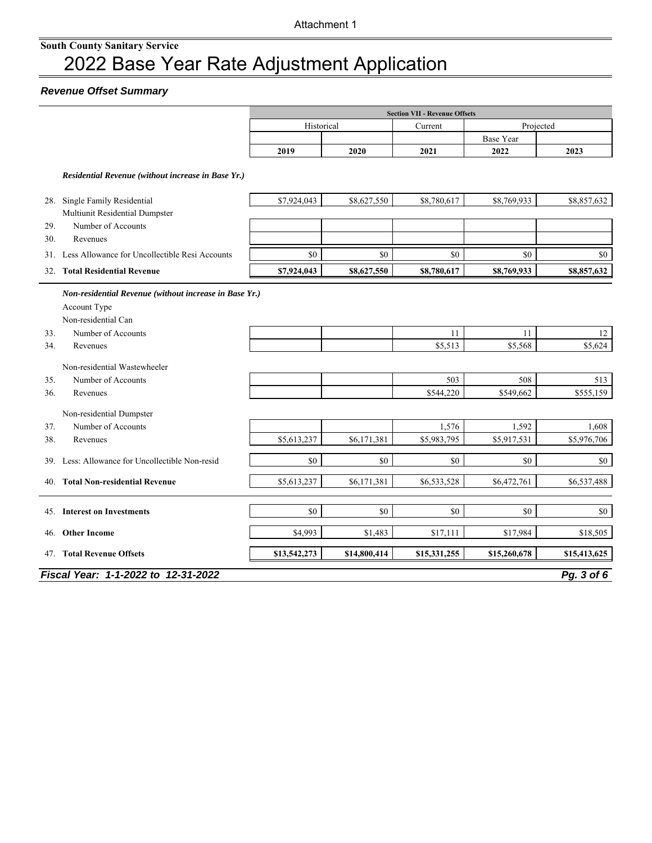### *Revenue Offset Summary*

|     |                                                                                               |              |              | <b>Section VII - Revenue Offsets</b> |                  |              |
|-----|-----------------------------------------------------------------------------------------------|--------------|--------------|--------------------------------------|------------------|--------------|
|     |                                                                                               | Historical   |              | Current                              |                  | Projected    |
|     |                                                                                               |              |              |                                      | <b>Base Year</b> |              |
|     |                                                                                               | 2019         | 2020         | 2021                                 | 2022             | 2023         |
|     | Residential Revenue (without increase in Base Yr.)                                            |              |              |                                      |                  |              |
|     | 28. Single Family Residential                                                                 | \$7,924,043  | \$8,627,550  | \$8,780,617                          | \$8,769,933      | \$8,857,632  |
|     | Multiunit Residential Dumpster                                                                |              |              |                                      |                  |              |
| 29. | Number of Accounts                                                                            |              |              |                                      |                  |              |
| 30. | Revenues                                                                                      |              |              |                                      |                  |              |
|     | 31. Less Allowance for Uncollectible Resi Accounts                                            | \$0          | \$0          | \$0                                  | \$0              | \$0          |
|     | 32. Total Residential Revenue                                                                 | \$7,924,043  | \$8,627,550  | \$8,780,617                          | \$8,769,933      | \$8,857,632  |
|     | Non-residential Revenue (without increase in Base Yr.)<br>Account Type<br>Non-residential Can |              |              |                                      |                  |              |
| 33. | Number of Accounts                                                                            |              |              | 11                                   | 11               | 12           |
| 34. | Revenues                                                                                      |              |              | \$5,513                              | \$5,568          | \$5,624      |
|     | Non-residential Wastewheeler                                                                  |              |              |                                      |                  |              |
| 35. | Number of Accounts                                                                            |              |              | 503                                  | 508              | 513          |
| 36. | Revenues                                                                                      |              |              | \$544,220                            | \$549,662        | \$555,159    |
|     | Non-residential Dumpster                                                                      |              |              |                                      |                  |              |
| 37. | Number of Accounts                                                                            |              |              | 1,576                                | 1,592            | 1,608        |
| 38. | Revenues                                                                                      | \$5,613,237  | \$6,171,381  | \$5,983,795                          | \$5,917,531      | \$5,976,706  |
| 39. | Less: Allowance for Uncollectible Non-resid                                                   | \$0          | $\$0$        | \$0                                  | \$0              | \$0          |
| 40. | <b>Total Non-residential Revenue</b>                                                          | \$5,613,237  | \$6,171,381  | \$6,533,528                          | \$6,472,761      | \$6,537,488  |
| 45. | <b>Interest on Investments</b>                                                                | \$0          | \$0          | \$0                                  | \$0              | \$0          |
| 46. | <b>Other Income</b>                                                                           | \$4,993      | \$1,483      | \$17,111                             | \$17,984         | \$18,505     |
|     | 47. Total Revenue Offsets                                                                     | \$13,542,273 | \$14,800,414 | \$15,331,255                         | \$15,260,678     | \$15,413,625 |
|     | Fiscal Year: 1-1-2022 to 12-31-2022                                                           |              |              |                                      |                  | Pg. 3 of 6   |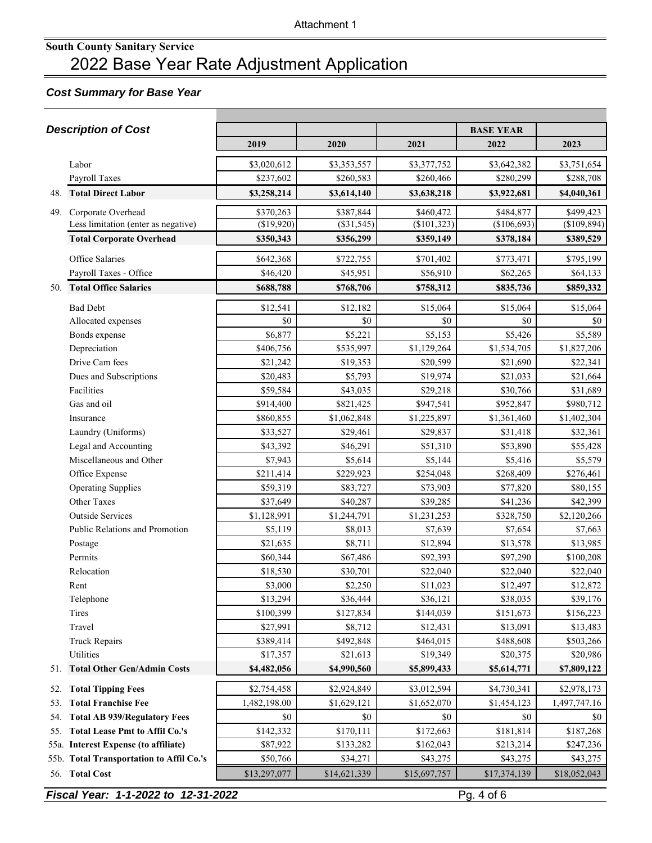### *Cost Summary for Base Year*

|     | <b>Description of Cost</b>               |              |               |              | <b>BASE YEAR</b> |              |
|-----|------------------------------------------|--------------|---------------|--------------|------------------|--------------|
|     |                                          | 2019         | 2020          | 2021         | 2022             | 2023         |
|     | Labor                                    | \$3,020,612  | \$3,353,557   | \$3,377,752  | \$3,642,382      | \$3,751,654  |
|     | Payroll Taxes                            | \$237,602    | \$260,583     | \$260,466    | \$280,299        | \$288,708    |
|     | 48. Total Direct Labor                   | \$3,258,214  | \$3,614,140   | \$3,638,218  | \$3,922,681      | \$4,040,361  |
| 49. | Corporate Overhead                       | \$370,263    | \$387,844     | \$460,472    | \$484,877        | \$499,423    |
|     | Less limitation (enter as negative)      | (\$19,920)   | $($ \$31,545) | (\$101,323)  | (\$106,693)      | (\$109,894)  |
|     | <b>Total Corporate Overhead</b>          | \$350,343    | \$356,299     | \$359,149    | \$378,184        | \$389,529    |
|     | Office Salaries                          | \$642,368    | \$722,755     | \$701,402    | \$773,471        | \$795,199    |
|     | Payroll Taxes - Office                   | \$46,420     | \$45,951      | \$56,910     | \$62,265         | \$64,133     |
|     | 50. Total Office Salaries                | \$688,788    | \$768,706     | \$758,312    | \$835,736        | \$859,332    |
|     | <b>Bad Debt</b>                          | \$12,541     | \$12,182      | \$15,064     | \$15,064         | \$15,064     |
|     | Allocated expenses                       | \$0          | \$0           | \$0          | \$0              | \$0          |
|     | Bonds expense                            | \$6,877      | \$5,221       | \$5,153      | \$5,426          | \$5,589      |
|     | Depreciation                             | \$406,756    | \$535,997     | \$1,129,264  | \$1,534,705      | \$1,827,206  |
|     | Drive Cam fees                           | \$21,242     | \$19,353      | \$20,599     | \$21,690         | \$22,341     |
|     | Dues and Subscriptions                   | \$20,483     | \$5,793       | \$19,974     | \$21,033         | \$21,664     |
|     | Facilities                               | \$59,584     | \$43,035      | \$29,218     | \$30,766         | \$31,689     |
|     | Gas and oil                              | \$914,400    | \$821,425     | \$947,541    | \$952,847        | \$980,712    |
|     | Insurance                                | \$860,855    | \$1,062,848   | \$1,225,897  | \$1,361,460      | \$1,402,304  |
|     | Laundry (Uniforms)                       | \$33,527     | \$29,461      | \$29,837     | \$31,418         | \$32,361     |
|     | Legal and Accounting                     | \$43,392     | \$46,291      | \$51,310     | \$53,890         | \$55,428     |
|     | Miscellaneous and Other                  | \$7,943      | \$5,614       | \$5,144      | \$5,416          | \$5,579      |
|     | Office Expense                           | \$211,414    | \$229,923     | \$254,048    | \$268,409        | \$276,461    |
|     | <b>Operating Supplies</b>                | \$59,319     | \$83,727      | \$73,903     | \$77,820         | \$80,155     |
|     | <b>Other Taxes</b>                       | \$37,649     | \$40,287      | \$39,285     | \$41,236         | \$42,399     |
|     | <b>Outside Services</b>                  | \$1,128,991  | \$1,244,791   | \$1,231,253  | \$328,750        | \$2,120,266  |
|     | Public Relations and Promotion           | \$5,119      | \$8,013       | \$7,639      | \$7,654          | \$7,663      |
|     | Postage                                  | \$21,635     | \$8,711       | \$12,894     | \$13,578         | \$13,985     |
|     | Permits                                  | \$60,344     | \$67,486      | \$92,393     | \$97,290         | \$100,208    |
|     | Relocation                               | \$18,530     | \$30,701      | \$22,040     | \$22,040         | \$22,040     |
|     | Rent                                     | \$3,000      | \$2,250       | \$11,023     | \$12,497         | \$12,872     |
|     | Telephone                                | \$13,294     | \$36,444      | \$36,121     | \$38,035         | \$39,176     |
|     | Tires                                    | \$100,399    | \$127,834     | \$144,039    | \$151,673        | \$156,223    |
|     | Travel                                   | \$27,991     | \$8,712       | \$12,431     | \$13,091         | \$13,483     |
|     | <b>Truck Repairs</b>                     | \$389,414    | \$492,848     | \$464,015    | \$488,608        | \$503,266    |
|     | Utilities                                | \$17,357     | \$21,613      | \$19,349     | \$20,375         | \$20,986     |
|     | 51. Total Other Gen/Admin Costs          | \$4,482,056  | \$4,990,560   | \$5,899,433  | \$5,614,771      | \$7,809,122  |
| 52. | <b>Total Tipping Fees</b>                | \$2,754,458  | \$2,924,849   | \$3,012,594  | \$4,730,341      | \$2,978,173  |
| 53. | <b>Total Franchise Fee</b>               | 1,482,198.00 | \$1,629,121   | \$1,652,070  | \$1,454,123      | 1,497,747.16 |
| 54. | <b>Total AB 939/Regulatory Fees</b>      | \$0          | \$0           | \$0          | \$0              | \$0          |
| 55. | <b>Total Lease Pmt to Affil Co.'s</b>    | \$142,332    | \$170,111     | \$172,663    | \$181,814        | \$187,268    |
|     | 55a. Interest Expense (to affiliate)     | \$87,922     | \$133,282     | \$162,043    | \$213,214        | \$247,236    |
|     | 55b. Total Transportation to Affil Co.'s | \$50,766     | \$34,271      | \$43,275     | \$43,275         | \$43,275     |
|     | 56. Total Cost                           | \$13,297,077 | \$14,621,339  | \$15,697,757 | \$17,374,139     | \$18,052,043 |

**Fiscal Year: 1-1-2022 to 12-31-2022** Pg. 4 of 6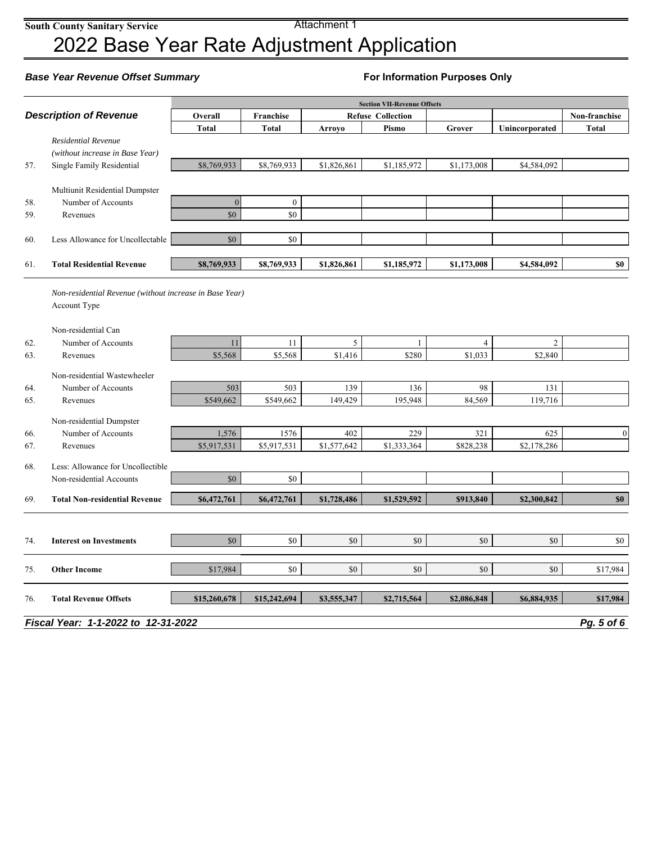Attachment 1

# 2022 Base Year Rate Adjustment Application

### **Base Year Revenue Offset Summary <b>For Information Purposes Only For Information Purposes Only**

|            |                                                         |                      |                     |                    | <b>Section VII-Revenue Offsets</b> |                  |                    |                  |
|------------|---------------------------------------------------------|----------------------|---------------------|--------------------|------------------------------------|------------------|--------------------|------------------|
|            | <b>Description of Revenue</b>                           | Overall              | Franchise           |                    | <b>Refuse Collection</b>           |                  |                    | Non-franchise    |
|            |                                                         | <b>Total</b>         | <b>Total</b>        | <b>Arroyo</b>      | Pismo                              | Grover           | Unincorporated     | <b>Total</b>     |
|            | <b>Residential Revenue</b>                              |                      |                     |                    |                                    |                  |                    |                  |
|            | (without increase in Base Year)                         |                      |                     |                    |                                    |                  |                    |                  |
| 57.        | Single Family Residential                               | \$8,769,933          | \$8,769,933         | \$1,826,861        | \$1,185,972                        | \$1,173,008      | \$4,584,092        |                  |
|            |                                                         |                      |                     |                    |                                    |                  |                    |                  |
|            | Multiunit Residential Dumpster                          |                      |                     |                    |                                    |                  |                    |                  |
| 58.        | Number of Accounts                                      | $\overline{0}$       | $\mathbf{0}$        |                    |                                    |                  |                    |                  |
| 59.        | Revenues                                                | \$0                  | \$0                 |                    |                                    |                  |                    |                  |
| 60.        | Less Allowance for Uncollectable                        | $\$0$                | \$0                 |                    |                                    |                  |                    |                  |
|            |                                                         |                      |                     |                    |                                    |                  |                    |                  |
| 61.        | <b>Total Residential Revenue</b>                        | \$8,769,933          | \$8,769,933         | \$1,826,861        | \$1,185,972                        | \$1,173,008      | \$4,584,092        | \$0              |
|            |                                                         |                      |                     |                    |                                    |                  |                    |                  |
|            | Non-residential Revenue (without increase in Base Year) |                      |                     |                    |                                    |                  |                    |                  |
|            | Account Type                                            |                      |                     |                    |                                    |                  |                    |                  |
|            |                                                         |                      |                     |                    |                                    |                  |                    |                  |
|            | Non-residential Can                                     |                      |                     |                    |                                    |                  |                    |                  |
| 62.        | Number of Accounts                                      | 11                   | 11                  | 5                  | 1                                  | $\overline{4}$   | $\mathfrak{2}$     |                  |
| 63.        | Revenues                                                | \$5,568              | \$5,568             | \$1,416            | \$280                              | \$1,033          | \$2,840            |                  |
|            | Non-residential Wastewheeler                            |                      |                     |                    |                                    |                  |                    |                  |
| 64.        | Number of Accounts                                      | 503                  | 503                 | 139                | 136                                | 98               | 131                |                  |
| 65.        | Revenues                                                | \$549,662            | \$549,662           | 149,429            | 195,948                            | 84,569           | 119,716            |                  |
|            |                                                         |                      |                     |                    |                                    |                  |                    |                  |
|            | Non-residential Dumpster                                |                      |                     |                    |                                    |                  |                    |                  |
| 66.<br>67. | Number of Accounts<br>Revenues                          | 1,576<br>\$5,917,531 | 1576<br>\$5,917,531 | 402<br>\$1,577,642 | 229<br>\$1,333,364                 | 321<br>\$828,238 | 625<br>\$2,178,286 | $\boldsymbol{0}$ |
|            |                                                         |                      |                     |                    |                                    |                  |                    |                  |
| 68.        | Less: Allowance for Uncollectible                       |                      |                     |                    |                                    |                  |                    |                  |
|            | Non-residential Accounts                                | \$0                  | \$0                 |                    |                                    |                  |                    |                  |
| 69.        | <b>Total Non-residential Revenue</b>                    | \$6,472,761          | \$6,472,761         | \$1,728,486        | \$1,529,592                        | \$913,840        | \$2,300,842        | \$0\$            |
|            |                                                         |                      |                     |                    |                                    |                  |                    |                  |
|            |                                                         |                      |                     |                    |                                    |                  |                    |                  |
| 74.        | <b>Interest on Investments</b>                          | \$0                  | \$0                 | \$0                | \$0                                | \$0              | \$0                | \$0              |
|            |                                                         |                      |                     |                    |                                    |                  |                    |                  |
| 75.        | <b>Other Income</b>                                     | \$17,984             | \$0                 | \$0                | \$0                                | \$0              | \$0                | \$17,984         |
|            |                                                         |                      |                     |                    |                                    |                  |                    |                  |
| 76.        | <b>Total Revenue Offsets</b>                            | \$15,260,678         | \$15,242,694        | \$3,555,347        | \$2,715,564                        | \$2,086,848      | \$6,884,935        | \$17,984         |
|            |                                                         |                      |                     |                    |                                    |                  |                    |                  |
|            | Fiscal Year: 1-1-2022 to 12-31-2022                     |                      |                     |                    |                                    |                  |                    | Pg. 5 of 6       |